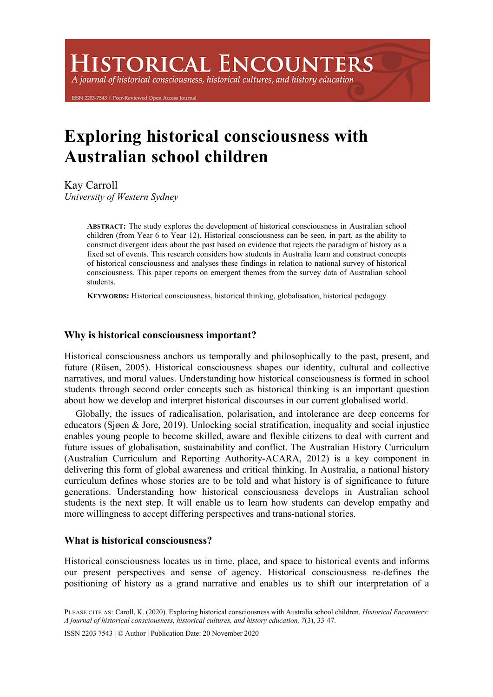# **HISTORICAL ENCOUNTERS**

A journal of historical consciousness, historical cultures, and history education

203-7543 | Peer-Reviewed Open Access Journa

## **Exploring historical consciousness with Australian school children**

Kay Carroll *University of Western Sydney*

> **ABSTRACT:** The study explores the development of historical consciousness in Australian school children (from Year 6 to Year 12). Historical consciousness can be seen, in part, as the ability to construct divergent ideas about the past based on evidence that rejects the paradigm of history as a fixed set of events. This research considers how students in Australia learn and construct concepts of historical consciousness and analyses these findings in relation to national survey of historical consciousness. This paper reports on emergent themes from the survey data of Australian school students.

**KEYWORDS:** Historical consciousness, historical thinking, globalisation, historical pedagogy

## **Why is historical consciousness important?**

Historical consciousness anchors us temporally and philosophically to the past, present, and future (Rüsen, 2005). Historical consciousness shapes our identity, cultural and collective narratives, and moral values. Understanding how historical consciousness is formed in school students through second order concepts such as historical thinking is an important question about how we develop and interpret historical discourses in our current globalised world.

Globally, the issues of radicalisation, polarisation, and intolerance are deep concerns for educators (Sjøen & Jore, 2019). Unlocking social stratification, inequality and social injustice enables young people to become skilled, aware and flexible citizens to deal with current and future issues of globalisation, sustainability and conflict. The Australian History Curriculum (Australian Curriculum and Reporting Authority-ACARA, 2012) is a key component in delivering this form of global awareness and critical thinking. In Australia, a national history curriculum defines whose stories are to be told and what history is of significance to future generations. Understanding how historical consciousness develops in Australian school students is the next step. It will enable us to learn how students can develop empathy and more willingness to accept differing perspectives and trans-national stories.

## **What is historical consciousness?**

Historical consciousness locates us in time, place, and space to historical events and informs our present perspectives and sense of agency. Historical consciousness re-defines the positioning of history as a grand narrative and enables us to shift our interpretation of a

PLEASE CITE AS: Caroll, K. (2020). Exploring historical consciousness with Australia school children. *Historical Encounters: A journal of historical consciousness, historical cultures, and history education, 7*(3), 33-47.

ISSN 2203 7543 | © Author | Publication Date: 20 November 2020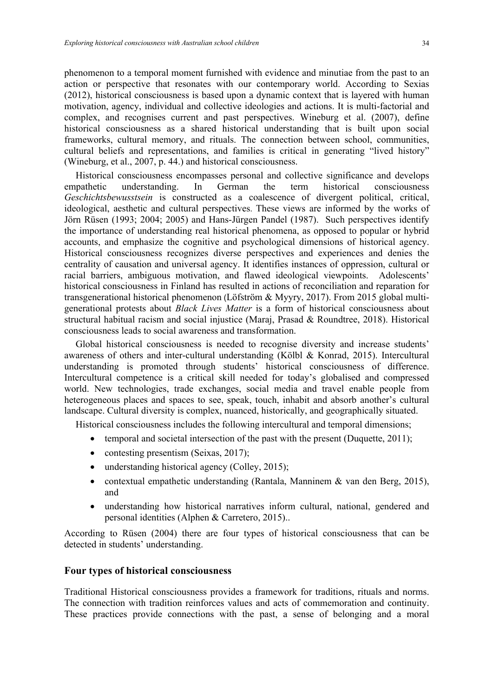phenomenon to a temporal moment furnished with evidence and minutiae from the past to an action or perspective that resonates with our contemporary world. According to Sexias (2012), historical consciousness is based upon a dynamic context that is layered with human motivation, agency, individual and collective ideologies and actions. It is multi-factorial and complex, and recognises current and past perspectives. Wineburg et al. (2007), define historical consciousness as a shared historical understanding that is built upon social frameworks, cultural memory, and rituals. The connection between school, communities, cultural beliefs and representations, and families is critical in generating "lived history" (Wineburg, et al., 2007, p. 44.) and historical consciousness.

Historical consciousness encompasses personal and collective significance and develops empathetic understanding. In German the term historical consciousness *Geschichtsbewusstsein* is constructed as a coalescence of divergent political, critical, ideological, aesthetic and cultural perspectives. These views are informed by the works of Jörn Rüsen (1993; 2004; 2005) and Hans-Jürgen Pandel (1987). Such perspectives identify the importance of understanding real historical phenomena, as opposed to popular or hybrid accounts, and emphasize the cognitive and psychological dimensions of historical agency. Historical consciousness recognizes diverse perspectives and experiences and denies the centrality of causation and universal agency. It identifies instances of oppression, cultural or racial barriers, ambiguous motivation, and flawed ideological viewpoints. Adolescents' historical consciousness in Finland has resulted in actions of reconciliation and reparation for transgenerational historical phenomenon (Löfström & Myyry, 2017). From 2015 global multigenerational protests about *Black Lives Matter* is a form of historical consciousness about structural habitual racism and social injustice (Maraj, Prasad & Roundtree, 2018). Historical consciousness leads to social awareness and transformation.

Global historical consciousness is needed to recognise diversity and increase students' awareness of others and inter-cultural understanding (Kölbl & Konrad, 2015). Intercultural understanding is promoted through students' historical consciousness of difference. Intercultural competence is a critical skill needed for today's globalised and compressed world. New technologies, trade exchanges, social media and travel enable people from heterogeneous places and spaces to see, speak, touch, inhabit and absorb another's cultural landscape. Cultural diversity is complex, nuanced, historically, and geographically situated.

Historical consciousness includes the following intercultural and temporal dimensions;

- temporal and societal intersection of the past with the present (Duquette, 2011);
- contesting presentism (Seixas, 2017);
- understanding historical agency (Colley, 2015);
- contextual empathetic understanding (Rantala, Manninem & van den Berg, 2015), and
- understanding how historical narratives inform cultural, national, gendered and personal identities (Alphen & Carretero, 2015)..

According to Rüsen (2004) there are four types of historical consciousness that can be detected in students' understanding.

#### **Four types of historical consciousness**

Traditional Historical consciousness provides a framework for traditions, rituals and norms. The connection with tradition reinforces values and acts of commemoration and continuity. These practices provide connections with the past, a sense of belonging and a moral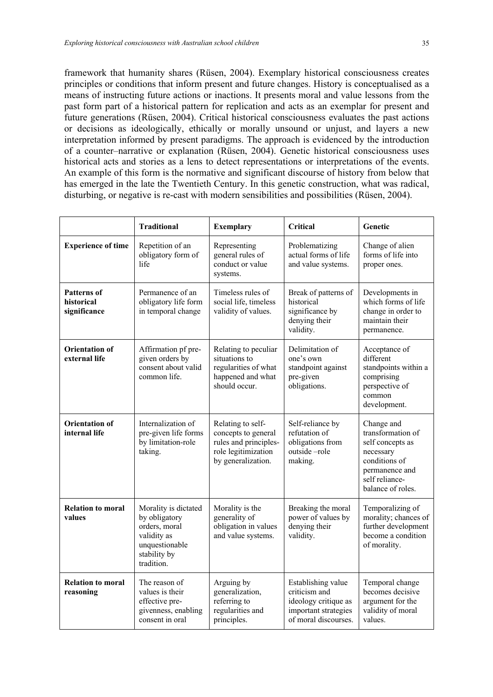framework that humanity shares (Rüsen, 2004). Exemplary historical consciousness creates principles or conditions that inform present and future changes. History is conceptualised as a means of instructing future actions or inactions. It presents moral and value lessons from the past form part of a historical pattern for replication and acts as an exemplar for present and future generations (Rüsen, 2004). Critical historical consciousness evaluates the past actions or decisions as ideologically, ethically or morally unsound or unjust, and layers a new interpretation informed by present paradigms. The approach is evidenced by the introduction of a counter–narrative or explanation (Rüsen, 2004). Genetic historical consciousness uses historical acts and stories as a lens to detect representations or interpretations of the events. An example of this form is the normative and significant discourse of history from below that has emerged in the late the Twentieth Century. In this genetic construction, what was radical, disturbing, or negative is re-cast with modern sensibilities and possibilities (Rüsen, 2004).

|                                                  | <b>Traditional</b>                                                                                                    | <b>Exemplary</b>                                                                                               | <b>Critical</b>                                                                                             | Genetic                                                                                                                                    |
|--------------------------------------------------|-----------------------------------------------------------------------------------------------------------------------|----------------------------------------------------------------------------------------------------------------|-------------------------------------------------------------------------------------------------------------|--------------------------------------------------------------------------------------------------------------------------------------------|
| <b>Experience of time</b>                        | Repetition of an<br>obligatory form of<br>life                                                                        | Representing<br>general rules of<br>conduct or value<br>systems.                                               | Problematizing<br>actual forms of life<br>and value systems.                                                | Change of alien<br>forms of life into<br>proper ones.                                                                                      |
| <b>Patterns of</b><br>historical<br>significance | Permanence of an<br>obligatory life form<br>in temporal change                                                        | Timeless rules of<br>social life, timeless<br>validity of values.                                              | Break of patterns of<br>historical<br>significance by<br>denying their<br>validity.                         | Developments in<br>which forms of life<br>change in order to<br>maintain their<br>permanence.                                              |
| <b>Orientation of</b><br>external life           | Affirmation pf pre-<br>given orders by<br>consent about valid<br>common life.                                         | Relating to peculiar<br>situations to<br>regularities of what<br>happened and what<br>should occur.            | Delimitation of<br>one's own<br>standpoint against<br>pre-given<br>obligations.                             | Acceptance of<br>different<br>standpoints within a<br>comprising<br>perspective of<br>common<br>development.                               |
| <b>Orientation of</b><br>internal life           | Internalization of<br>pre-given life forms<br>by limitation-role<br>taking.                                           | Relating to self-<br>concepts to general<br>rules and principles-<br>role legitimization<br>by generalization. | Self-reliance by<br>refutation of<br>obligations from<br>outside-role<br>making.                            | Change and<br>transformation of<br>self concepts as<br>necessary<br>conditions of<br>permanence and<br>self reliance-<br>balance of roles. |
| <b>Relation to moral</b><br>values               | Morality is dictated<br>by obligatory<br>orders, moral<br>validity as<br>unquestionable<br>stability by<br>tradition. | Morality is the<br>generality of<br>obligation in values<br>and value systems.                                 | Breaking the moral<br>power of values by<br>denying their<br>validity.                                      | Temporalizing of<br>morality; chances of<br>further development<br>become a condition<br>of morality.                                      |
| <b>Relation to moral</b><br>reasoning            | The reason of<br>values is their<br>effective pre-<br>givenness, enabling<br>consent in oral                          | Arguing by<br>generalization,<br>referring to<br>regularities and<br>principles.                               | Establishing value<br>criticism and<br>ideology critique as<br>important strategies<br>of moral discourses. | Temporal change<br>becomes decisive<br>argument for the<br>validity of moral<br>values.                                                    |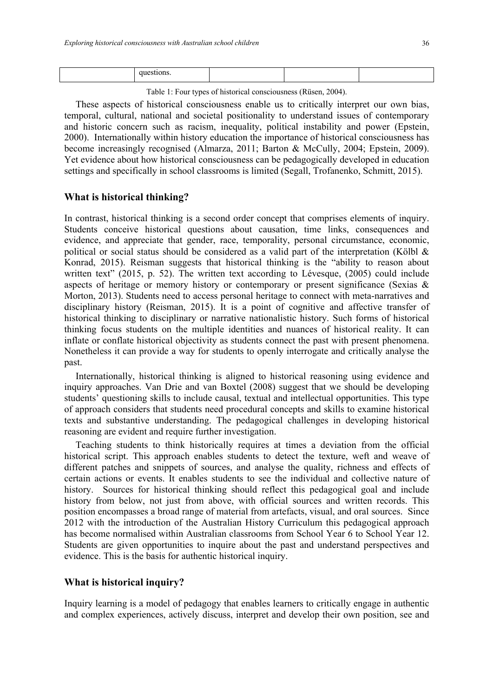|--|--|--|--|--|

Table 1: Four types of historical consciousness (Rüsen, 2004).

These aspects of historical consciousness enable us to critically interpret our own bias, temporal, cultural, national and societal positionality to understand issues of contemporary and historic concern such as racism, inequality, political instability and power (Epstein, 2000). Internationally within history education the importance of historical consciousness has become increasingly recognised (Almarza, 2011; Barton & McCully, 2004; Epstein, 2009). Yet evidence about how historical consciousness can be pedagogically developed in education settings and specifically in school classrooms is limited (Segall, Trofanenko, Schmitt, 2015).

#### **What is historical thinking?**

In contrast, historical thinking is a second order concept that comprises elements of inquiry. Students conceive historical questions about causation, time links, consequences and evidence, and appreciate that gender, race, temporality, personal circumstance, economic, political or social status should be considered as a valid part of the interpretation (Kölbl  $\&$ Konrad, 2015). Reisman suggests that historical thinking is the "ability to reason about written text" (2015, p. 52). The written text according to Lévesque, (2005) could include aspects of heritage or memory history or contemporary or present significance (Sexias & Morton, 2013). Students need to access personal heritage to connect with meta-narratives and disciplinary history (Reisman, 2015). It is a point of cognitive and affective transfer of historical thinking to disciplinary or narrative nationalistic history. Such forms of historical thinking focus students on the multiple identities and nuances of historical reality. It can inflate or conflate historical objectivity as students connect the past with present phenomena. Nonetheless it can provide a way for students to openly interrogate and critically analyse the past.

Internationally, historical thinking is aligned to historical reasoning using evidence and inquiry approaches. Van Drie and van Boxtel (2008) suggest that we should be developing students' questioning skills to include causal, textual and intellectual opportunities. This type of approach considers that students need procedural concepts and skills to examine historical texts and substantive understanding. The pedagogical challenges in developing historical reasoning are evident and require further investigation.

Teaching students to think historically requires at times a deviation from the official historical script. This approach enables students to detect the texture, weft and weave of different patches and snippets of sources, and analyse the quality, richness and effects of certain actions or events. It enables students to see the individual and collective nature of history. Sources for historical thinking should reflect this pedagogical goal and include history from below, not just from above, with official sources and written records. This position encompasses a broad range of material from artefacts, visual, and oral sources. Since 2012 with the introduction of the Australian History Curriculum this pedagogical approach has become normalised within Australian classrooms from School Year 6 to School Year 12. Students are given opportunities to inquire about the past and understand perspectives and evidence. This is the basis for authentic historical inquiry.

#### **What is historical inquiry?**

Inquiry learning is a model of pedagogy that enables learners to critically engage in authentic and complex experiences, actively discuss, interpret and develop their own position, see and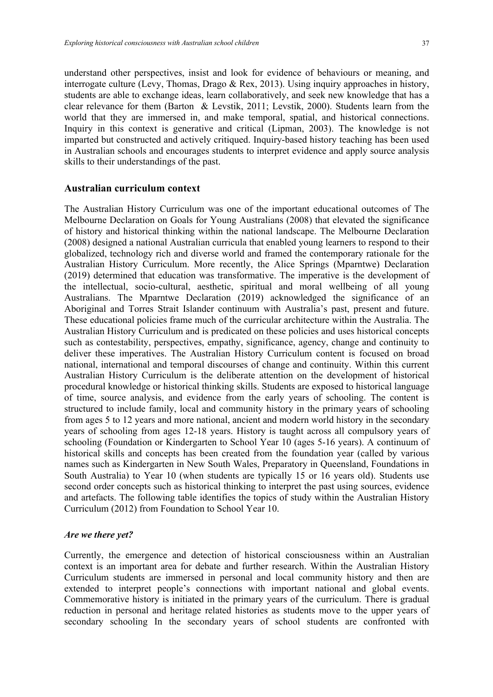understand other perspectives, insist and look for evidence of behaviours or meaning, and interrogate culture (Levy, Thomas, Drago & Rex, 2013). Using inquiry approaches in history, students are able to exchange ideas, learn collaboratively, and seek new knowledge that has a clear relevance for them (Barton & Levstik, 2011; Levstik, 2000). Students learn from the world that they are immersed in, and make temporal, spatial, and historical connections. Inquiry in this context is generative and critical (Lipman, 2003). The knowledge is not imparted but constructed and actively critiqued. Inquiry-based history teaching has been used in Australian schools and encourages students to interpret evidence and apply source analysis skills to their understandings of the past.

### **Australian curriculum context**

The Australian History Curriculum was one of the important educational outcomes of The Melbourne Declaration on Goals for Young Australians (2008) that elevated the significance of history and historical thinking within the national landscape. The Melbourne Declaration (2008) designed a national Australian curricula that enabled young learners to respond to their globalized, technology rich and diverse world and framed the contemporary rationale for the Australian History Curriculum. More recently, the Alice Springs (Mparntwe) Declaration (2019) determined that education was transformative. The imperative is the development of the intellectual, socio-cultural, aesthetic, spiritual and moral wellbeing of all young Australians. The Mparntwe Declaration (2019) acknowledged the significance of an Aboriginal and Torres Strait Islander continuum with Australia's past, present and future. These educational policies frame much of the curricular architecture within the Australia. The Australian History Curriculum and is predicated on these policies and uses historical concepts such as contestability, perspectives, empathy, significance, agency, change and continuity to deliver these imperatives. The Australian History Curriculum content is focused on broad national, international and temporal discourses of change and continuity. Within this current Australian History Curriculum is the deliberate attention on the development of historical procedural knowledge or historical thinking skills. Students are exposed to historical language of time, source analysis, and evidence from the early years of schooling. The content is structured to include family, local and community history in the primary years of schooling from ages 5 to 12 years and more national, ancient and modern world history in the secondary years of schooling from ages 12-18 years. History is taught across all compulsory years of schooling (Foundation or Kindergarten to School Year 10 (ages 5-16 years). A continuum of historical skills and concepts has been created from the foundation year (called by various names such as Kindergarten in New South Wales, Preparatory in Queensland, Foundations in South Australia) to Year 10 (when students are typically 15 or 16 years old). Students use second order concepts such as historical thinking to interpret the past using sources, evidence and artefacts. The following table identifies the topics of study within the Australian History Curriculum (2012) from Foundation to School Year 10.

#### *Are we there yet?*

Currently, the emergence and detection of historical consciousness within an Australian context is an important area for debate and further research. Within the Australian History Curriculum students are immersed in personal and local community history and then are extended to interpret people's connections with important national and global events. Commemorative history is initiated in the primary years of the curriculum. There is gradual reduction in personal and heritage related histories as students move to the upper years of secondary schooling In the secondary years of school students are confronted with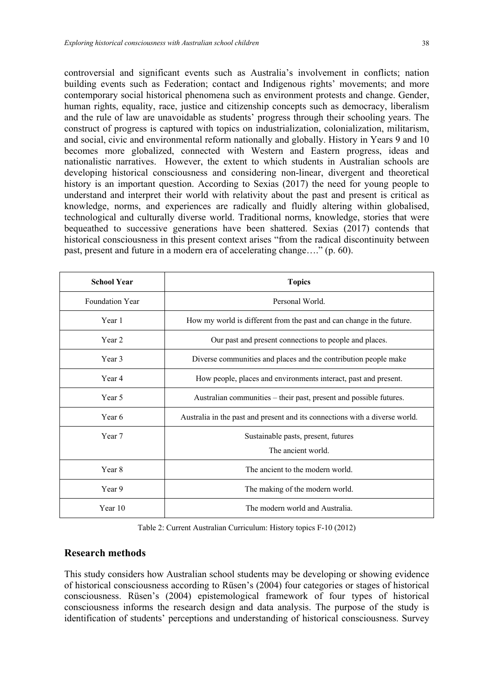controversial and significant events such as Australia's involvement in conflicts; nation building events such as Federation; contact and Indigenous rights' movements; and more contemporary social historical phenomena such as environment protests and change. Gender, human rights, equality, race, justice and citizenship concepts such as democracy, liberalism and the rule of law are unavoidable as students' progress through their schooling years. The construct of progress is captured with topics on industrialization, colonialization, militarism, and social, civic and environmental reform nationally and globally. History in Years 9 and 10 becomes more globalized, connected with Western and Eastern progress, ideas and nationalistic narratives. However, the extent to which students in Australian schools are developing historical consciousness and considering non-linear, divergent and theoretical history is an important question. According to Sexias (2017) the need for young people to understand and interpret their world with relativity about the past and present is critical as knowledge, norms, and experiences are radically and fluidly altering within globalised, technological and culturally diverse world. Traditional norms, knowledge, stories that were bequeathed to successive generations have been shattered. Sexias (2017) contends that historical consciousness in this present context arises "from the radical discontinuity between past, present and future in a modern era of accelerating change…." (p. 60).

| <b>School Year</b>     | <b>Topics</b>                                                               |  |
|------------------------|-----------------------------------------------------------------------------|--|
| <b>Foundation Year</b> | Personal World.                                                             |  |
| Year 1                 | How my world is different from the past and can change in the future.       |  |
| Year 2                 | Our past and present connections to people and places.                      |  |
| Year 3                 | Diverse communities and places and the contribution people make             |  |
| Year 4                 | How people, places and environments interact, past and present.             |  |
| Year 5                 | Australian communities – their past, present and possible futures.          |  |
| Year 6                 | Australia in the past and present and its connections with a diverse world. |  |
| Year 7                 | Sustainable pasts, present, futures<br>The ancient world.                   |  |
| Year 8                 | The ancient to the modern world.                                            |  |
| Year 9                 | The making of the modern world.                                             |  |
| Year 10                | The modern world and Australia.                                             |  |

Table 2: Current Australian Curriculum: History topics F-10 (2012)

## **Research methods**

This study considers how Australian school students may be developing or showing evidence of historical consciousness according to Rüsen's (2004) four categories or stages of historical consciousness. Rüsen's (2004) epistemological framework of four types of historical consciousness informs the research design and data analysis. The purpose of the study is identification of students' perceptions and understanding of historical consciousness. Survey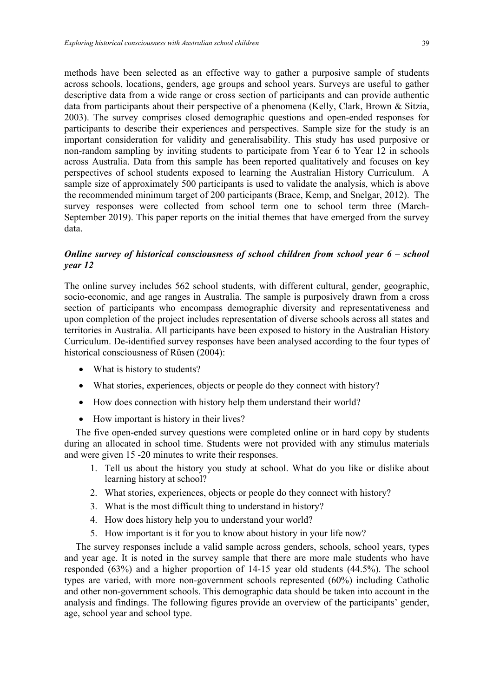methods have been selected as an effective way to gather a purposive sample of students across schools, locations, genders, age groups and school years. Surveys are useful to gather descriptive data from a wide range or cross section of participants and can provide authentic data from participants about their perspective of a phenomena (Kelly, Clark, Brown & Sitzia, 2003). The survey comprises closed demographic questions and open-ended responses for participants to describe their experiences and perspectives. Sample size for the study is an important consideration for validity and generalisability. This study has used purposive or non-random sampling by inviting students to participate from Year 6 to Year 12 in schools across Australia. Data from this sample has been reported qualitatively and focuses on key perspectives of school students exposed to learning the Australian History Curriculum. A sample size of approximately 500 participants is used to validate the analysis, which is above the recommended minimum target of 200 participants (Brace, Kemp, and Snelgar, 2012). The survey responses were collected from school term one to school term three (March-September 2019). This paper reports on the initial themes that have emerged from the survey data.

## *Online survey of historical consciousness of school children from school year 6 – school year 12*

The online survey includes 562 school students, with different cultural, gender, geographic, socio-economic, and age ranges in Australia. The sample is purposively drawn from a cross section of participants who encompass demographic diversity and representativeness and upon completion of the project includes representation of diverse schools across all states and territories in Australia. All participants have been exposed to history in the Australian History Curriculum. De-identified survey responses have been analysed according to the four types of historical consciousness of Rüsen (2004):

- What is history to students?
- What stories, experiences, objects or people do they connect with history?
- How does connection with history help them understand their world?
- How important is history in their lives?

The five open-ended survey questions were completed online or in hard copy by students during an allocated in school time. Students were not provided with any stimulus materials and were given 15 -20 minutes to write their responses.

- 1. Tell us about the history you study at school. What do you like or dislike about learning history at school?
- 2. What stories, experiences, objects or people do they connect with history?
- 3. What is the most difficult thing to understand in history?
- 4. How does history help you to understand your world?
- 5. How important is it for you to know about history in your life now?

The survey responses include a valid sample across genders, schools, school years, types and year age. It is noted in the survey sample that there are more male students who have responded (63%) and a higher proportion of 14-15 year old students (44.5%). The school types are varied, with more non-government schools represented (60%) including Catholic and other non-government schools. This demographic data should be taken into account in the analysis and findings. The following figures provide an overview of the participants' gender, age, school year and school type.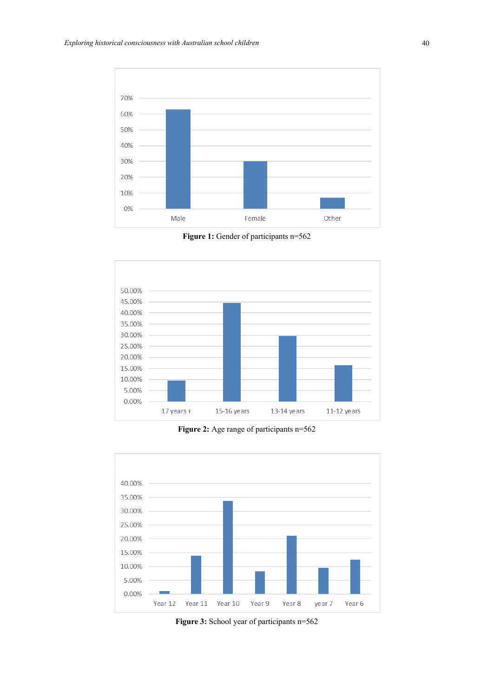

Figure 1: Gender of participants n=562



**Figure 2:** Age range of participants n=562



**Figure 3:** School year of participants n=562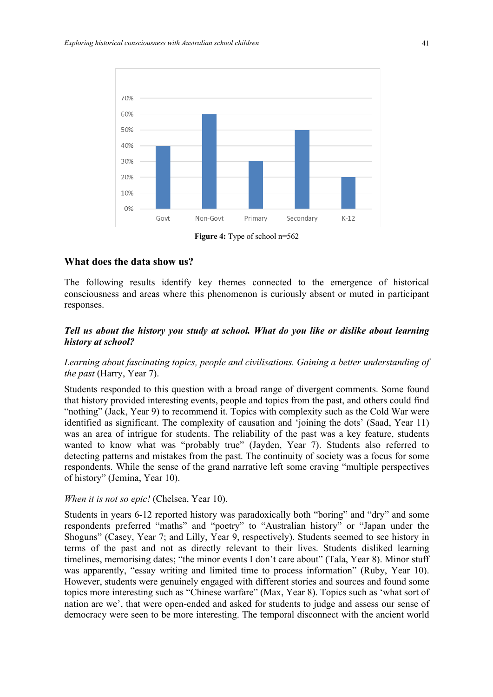

**Figure 4:** Type of school n=562

#### **What does the data show us?**

The following results identify key themes connected to the emergence of historical consciousness and areas where this phenomenon is curiously absent or muted in participant responses.

## *Tell us about the history you study at school. What do you like or dislike about learning history at school?*

## *Learning about fascinating topics, people and civilisations. Gaining a better understanding of the past* (Harry, Year 7).

Students responded to this question with a broad range of divergent comments. Some found that history provided interesting events, people and topics from the past, and others could find "nothing" (Jack, Year 9) to recommend it. Topics with complexity such as the Cold War were identified as significant. The complexity of causation and 'joining the dots' (Saad, Year 11) was an area of intrigue for students. The reliability of the past was a key feature, students wanted to know what was "probably true" (Jayden, Year 7). Students also referred to detecting patterns and mistakes from the past. The continuity of society was a focus for some respondents. While the sense of the grand narrative left some craving "multiple perspectives of history" (Jemina, Year 10).

#### *When it is not so epic!* (Chelsea, Year 10).

Students in years 6-12 reported history was paradoxically both "boring" and "dry" and some respondents preferred "maths" and "poetry" to "Australian history" or "Japan under the Shoguns" (Casey, Year 7; and Lilly, Year 9, respectively). Students seemed to see history in terms of the past and not as directly relevant to their lives. Students disliked learning timelines, memorising dates; "the minor events I don't care about" (Tala, Year 8). Minor stuff was apparently, "essay writing and limited time to process information" (Ruby, Year 10). However, students were genuinely engaged with different stories and sources and found some topics more interesting such as "Chinese warfare" (Max, Year 8). Topics such as 'what sort of nation are we', that were open-ended and asked for students to judge and assess our sense of democracy were seen to be more interesting. The temporal disconnect with the ancient world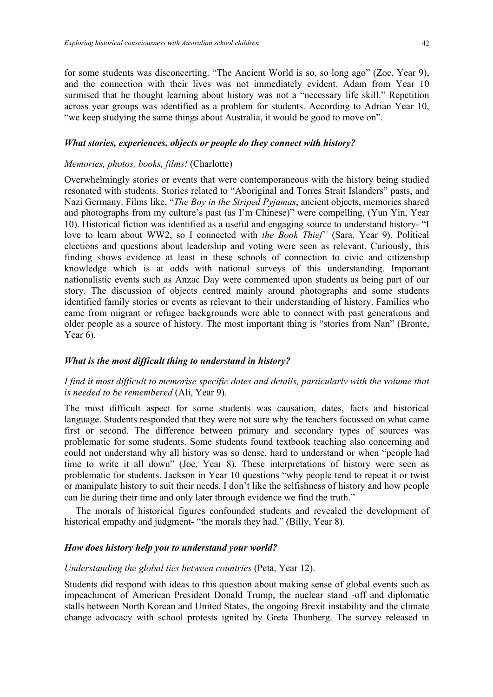for some students was disconcerting. "The Ancient World is so, so long ago" (Zoe, Year 9), and the connection with their lives was not immediately evident. Adam from Year 10 surmised that he thought learning about history was not a "necessary life skill." Repetition across year groups was identified as a problem for students. According to Adrian Year 10, "we keep studying the same things about Australia, it would be good to move on".

#### *What stories, experiences, objects or people do they connect with history?*

#### *Memories, photos, books, films!* (Charlotte)

Overwhelmingly stories or events that were contemporaneous with the history being studied resonated with students. Stories related to "Aboriginal and Torres Strait Islanders" pasts, and Nazi Germany. Films like, "*The Boy in the Striped Pyjamas*, ancient objects, memories shared and photographs from my culture's past (as I'm Chinese)" were compelling, (Yun Yin, Year 10). Historical fiction was identified as a useful and engaging source to understand history- "I love to learn about WW2, so I connected with *the Book Thief"* (Sara, Year 9). Political elections and questions about leadership and voting were seen as relevant. Curiously, this finding shows evidence at least in these schools of connection to civic and citizenship knowledge which is at odds with national surveys of this understanding. Important nationalistic events such as Anzac Day were commented upon students as being part of our story. The discussion of objects centred mainly around photographs and some students identified family stories or events as relevant to their understanding of history. Families who came from migrant or refugee backgrounds were able to connect with past generations and older people as a source of history. The most important thing is "stories from Nan" (Bronte, Year  $6$ ).

#### *What is the most difficult thing to understand in history?*

## *I find it most difficult to memorise specific dates and details, particularly with the volume that is needed to be remembered* (Ali, Year 9).

The most difficult aspect for some students was causation, dates, facts and historical language. Students responded that they were not sure why the teachers focussed on what came first or second. The difference between primary and secondary types of sources was problematic for some students. Some students found textbook teaching also concerning and could not understand why all history was so dense, hard to understand or when "people had time to write it all down" (Joe, Year 8). These interpretations of history were seen as problematic for students. Jackson in Year 10 questions "why people tend to repeat it or twist or manipulate history to suit their needs, I don't like the selfishness of history and how people can lie during their time and only later through evidence we find the truth."

The morals of historical figures confounded students and revealed the development of historical empathy and judgment- "the morals they had." (Billy, Year 8).

#### *How does history help you to understand your world?*

#### *Understanding the global ties between countries* (Peta, Year 12).

Students did respond with ideas to this question about making sense of global events such as impeachment of American President Donald Trump, the nuclear stand -off and diplomatic stalls between North Korean and United States, the ongoing Brexit instability and the climate change advocacy with school protests ignited by Greta Thunberg. The survey released in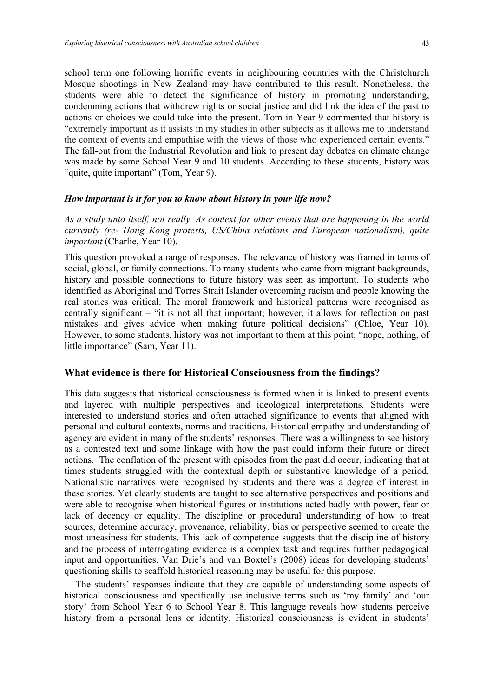school term one following horrific events in neighbouring countries with the Christchurch Mosque shootings in New Zealand may have contributed to this result. Nonetheless, the students were able to detect the significance of history in promoting understanding, condemning actions that withdrew rights or social justice and did link the idea of the past to actions or choices we could take into the present. Tom in Year 9 commented that history is "extremely important as it assists in my studies in other subjects as it allows me to understand the context of events and empathise with the views of those who experienced certain events." The fall-out from the Industrial Revolution and link to present day debates on climate change was made by some School Year 9 and 10 students. According to these students, history was "quite, quite important" (Tom, Year 9).

#### *How important is it for you to know about history in your life now?*

*As a study unto itself, not really. As context for other events that are happening in the world currently (re- Hong Kong protests, US/China relations and European nationalism), quite important* (Charlie, Year 10).

This question provoked a range of responses. The relevance of history was framed in terms of social, global, or family connections. To many students who came from migrant backgrounds, history and possible connections to future history was seen as important. To students who identified as Aboriginal and Torres Strait Islander overcoming racism and people knowing the real stories was critical. The moral framework and historical patterns were recognised as centrally significant – "it is not all that important; however, it allows for reflection on past mistakes and gives advice when making future political decisions" (Chloe, Year 10). However, to some students, history was not important to them at this point; "nope, nothing, of little importance" (Sam, Year 11).

#### **What evidence is there for Historical Consciousness from the findings?**

This data suggests that historical consciousness is formed when it is linked to present events and layered with multiple perspectives and ideological interpretations. Students were interested to understand stories and often attached significance to events that aligned with personal and cultural contexts, norms and traditions. Historical empathy and understanding of agency are evident in many of the students' responses. There was a willingness to see history as a contested text and some linkage with how the past could inform their future or direct actions. The conflation of the present with episodes from the past did occur, indicating that at times students struggled with the contextual depth or substantive knowledge of a period. Nationalistic narratives were recognised by students and there was a degree of interest in these stories. Yet clearly students are taught to see alternative perspectives and positions and were able to recognise when historical figures or institutions acted badly with power, fear or lack of decency or equality. The discipline or procedural understanding of how to treat sources, determine accuracy, provenance, reliability, bias or perspective seemed to create the most uneasiness for students. This lack of competence suggests that the discipline of history and the process of interrogating evidence is a complex task and requires further pedagogical input and opportunities. Van Drie's and van Boxtel's (2008) ideas for developing students' questioning skills to scaffold historical reasoning may be useful for this purpose.

The students' responses indicate that they are capable of understanding some aspects of historical consciousness and specifically use inclusive terms such as 'my family' and 'our story' from School Year 6 to School Year 8. This language reveals how students perceive history from a personal lens or identity. Historical consciousness is evident in students'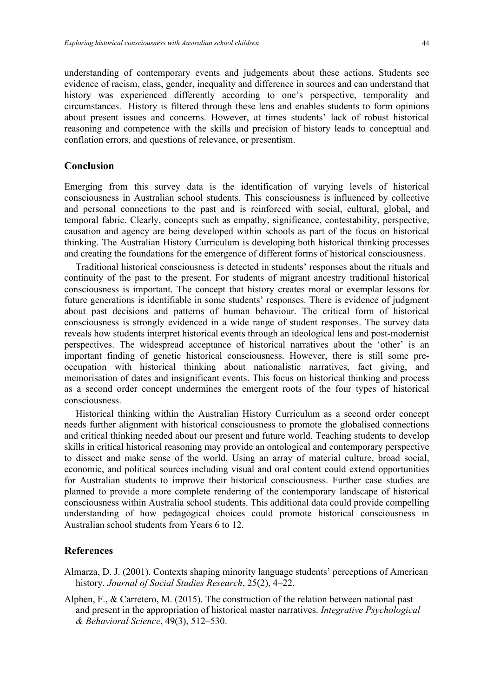understanding of contemporary events and judgements about these actions. Students see evidence of racism, class, gender, inequality and difference in sources and can understand that history was experienced differently according to one's perspective, temporality and circumstances. History is filtered through these lens and enables students to form opinions about present issues and concerns. However, at times students' lack of robust historical reasoning and competence with the skills and precision of history leads to conceptual and conflation errors, and questions of relevance, or presentism.

## **Conclusion**

Emerging from this survey data is the identification of varying levels of historical consciousness in Australian school students. This consciousness is influenced by collective and personal connections to the past and is reinforced with social, cultural, global, and temporal fabric. Clearly, concepts such as empathy, significance, contestability, perspective, causation and agency are being developed within schools as part of the focus on historical thinking. The Australian History Curriculum is developing both historical thinking processes and creating the foundations for the emergence of different forms of historical consciousness.

Traditional historical consciousness is detected in students' responses about the rituals and continuity of the past to the present. For students of migrant ancestry traditional historical consciousness is important. The concept that history creates moral or exemplar lessons for future generations is identifiable in some students' responses. There is evidence of judgment about past decisions and patterns of human behaviour. The critical form of historical consciousness is strongly evidenced in a wide range of student responses. The survey data reveals how students interpret historical events through an ideological lens and post-modernist perspectives. The widespread acceptance of historical narratives about the 'other' is an important finding of genetic historical consciousness. However, there is still some preoccupation with historical thinking about nationalistic narratives, fact giving, and memorisation of dates and insignificant events. This focus on historical thinking and process as a second order concept undermines the emergent roots of the four types of historical consciousness.

Historical thinking within the Australian History Curriculum as a second order concept needs further alignment with historical consciousness to promote the globalised connections and critical thinking needed about our present and future world. Teaching students to develop skills in critical historical reasoning may provide an ontological and contemporary perspective to dissect and make sense of the world. Using an array of material culture, broad social, economic, and political sources including visual and oral content could extend opportunities for Australian students to improve their historical consciousness. Further case studies are planned to provide a more complete rendering of the contemporary landscape of historical consciousness within Australia school students. This additional data could provide compelling understanding of how pedagogical choices could promote historical consciousness in Australian school students from Years 6 to 12.

## **References**

- Almarza, D. J. (2001). Contexts shaping minority language students' perceptions of American history. *Journal of Social Studies Research*, 25(2), 4–22.
- Alphen, F., & Carretero, M. (2015). The construction of the relation between national past and present in the appropriation of historical master narratives. *Integrative Psychological & Behavioral Science*, 49(3), 512–530.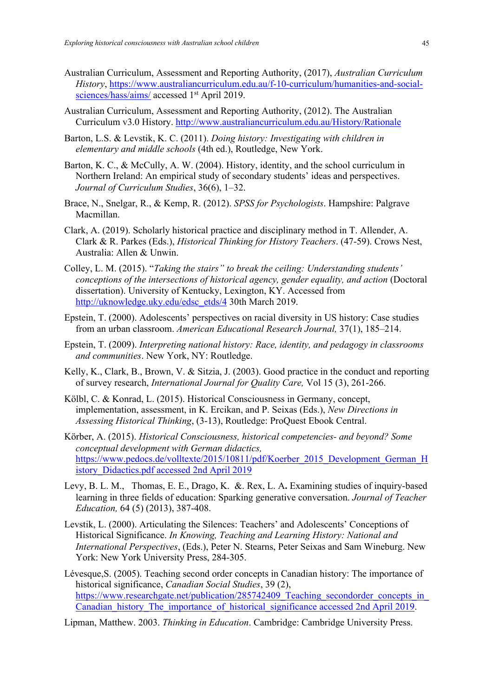- Australian Curriculum, Assessment and Reporting Authority, (2017), *Australian Curriculum History*, https://www.australiancurriculum.edu.au/f-10-curriculum/humanities-and-socialsciences/hass/aims/ accessed 1<sup>st</sup> April 2019.
- Australian Curriculum, Assessment and Reporting Authority, (2012). The Australian Curriculum v3.0 History. http://www.australiancurriculum.edu.au/History/Rationale
- Barton, L.S. & Levstik, K. C. (2011). *Doing history: Investigating with children in elementary and middle schools* (4th ed.), Routledge, New York.
- Barton, K. C., & McCully, A. W. (2004). History, identity, and the school curriculum in Northern Ireland: An empirical study of secondary students' ideas and perspectives. *Journal of Curriculum Studies*, 36(6), 1–32.
- Brace, N., Snelgar, R., & Kemp, R. (2012). *SPSS for Psychologists*. Hampshire: Palgrave Macmillan.
- Clark, A. (2019). Scholarly historical practice and disciplinary method in T. Allender, A. Clark & R. Parkes (Eds.), *Historical Thinking for History Teachers*. (47-59). Crows Nest, Australia: Allen & Unwin.
- Colley, L. M. (2015). "*Taking the stairs" to break the ceiling: Understanding students' conceptions of the intersections of historical agency, gender equality, and action* (Doctoral dissertation). University of Kentucky, Lexington, KY. Accessed from http://uknowledge.uky.edu/edsc\_etds/4 30th March 2019.
- Epstein, T. (2000). Adolescents' perspectives on racial diversity in US history: Case studies from an urban classroom. *American Educational Research Journal,* 37(1), 185–214.
- Epstein, T. (2009). *Interpreting national history: Race, identity, and pedagogy in classrooms and communities*. New York, NY: Routledge.
- Kelly, K., Clark, B., Brown, V. & Sitzia, J. (2003). Good practice in the conduct and reporting of survey research, *International Journal for Quality Care,* Vol 15 (3), 261-266.
- Kölbl, C. & Konrad, L. (2015). Historical Consciousness in Germany, concept, implementation, assessment, in K. Ercikan, and P. Seixas (Eds.), *New Directions in Assessing Historical Thinking*, (3-13), Routledge: ProQuest Ebook Central.
- Körber, A. (2015). *Historical Consciousness, historical competencies- and beyond? Some conceptual development with German didactics,* https://www.pedocs.de/volltexte/2015/10811/pdf/Koerber\_2015\_Development\_German\_H istory\_Didactics.pdf accessed 2nd April 2019
- Levy, B. L. M., Thomas, E. E., Drago, K. &. Rex, L. A**.** Examining studies of inquiry-based learning in three fields of education: Sparking generative conversation. *Journal of Teacher Education,* 64 (5) (2013), 387-408.
- Levstik, L. (2000). Articulating the Silences: Teachers' and Adolescents' Conceptions of Historical Significance. *In Knowing, Teaching and Learning History: National and International Perspectives*, (Eds.), Peter N. Stearns, Peter Seixas and Sam Wineburg. New York: New York University Press, 284-305.
- Lévesque,S. (2005). Teaching second order concepts in Canadian history: The importance of historical significance, *Canadian Social Studies*, 39 (2), https://www.researchgate.net/publication/285742409 Teaching secondorder concepts in Canadian\_history\_The\_importance\_of\_historical\_significance accessed 2nd April 2019.
- Lipman, Matthew. 2003. *Thinking in Education*. Cambridge: Cambridge University Press.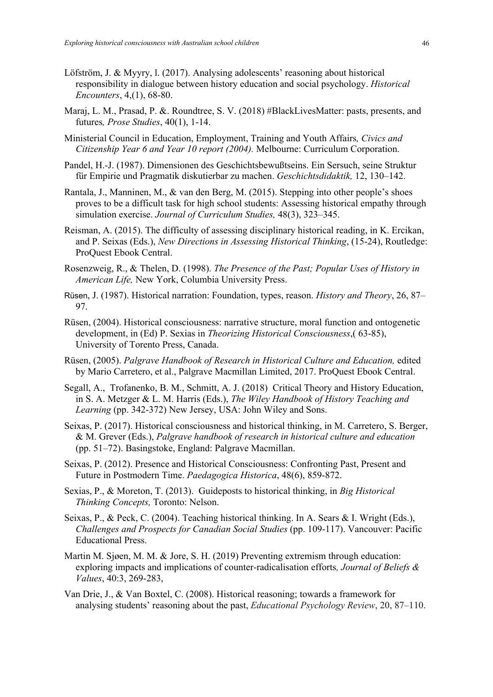- Löfström, J. & Myyry, l. (2017). Analysing adolescents' reasoning about historical responsibility in dialogue between history education and social psychology. *Historical Encounters*, 4,(1), 68-80.
- Maraj, L. M., Prasad, P. &. Roundtree, S. V. (2018) #BlackLivesMatter: pasts, presents, and futures*, Prose Studies*, 40(1), 1-14.
- Ministerial Council in Education, Employment, Training and Youth Affairs*, Civics and Citizenship Year 6 and Year 10 report (2004).* Melbourne: Curriculum Corporation.
- Pandel, H.-J. (1987). Dimensionen des Geschichtsbewußtseins. Ein Sersuch, seine Struktur für Empirie und Pragmatik diskutierbar zu machen. *Geschichtsdidaktik,* 12, 130–142.
- Rantala, J., Manninen, M., & van den Berg, M. (2015). Stepping into other people's shoes proves to be a difficult task for high school students: Assessing historical empathy through simulation exercise. *Journal of Curriculum Studies,* 48(3), 323–345.
- Reisman, A. (2015). The difficulty of assessing disciplinary historical reading, in K. Ercikan, and P. Seixas (Eds.), *New Directions in Assessing Historical Thinking*, (15-24), Routledge: ProQuest Ebook Central.
- Rosenzweig, R., & Thelen, D. (1998). *The Presence of the Past; Popular Uses of History in American Life,* New York, Columbia University Press.
- Rüsen, J. (1987). Historical narration: Foundation, types, reason. *History and Theory*, 26, 87– 97.
- Rüsen, (2004). Historical consciousness: narrative structure, moral function and ontogenetic development, in (Ed) P. Sexias in *Theorizing Historical Consciousness*,( 63-85), University of Torento Press, Canada.
- Rüsen, (2005). *Palgrave Handbook of Research in Historical Culture and Education,* edited by Mario Carretero, et al., Palgrave Macmillan Limited, 2017. ProQuest Ebook Central.
- Segall, A., Trofanenko, B. M., Schmitt, A. J. (2018) Critical Theory and History Education, in S. A. Metzger & L. M. Harris (Eds.), *The Wiley Handbook of History Teaching and Learning* (pp. 342-372) New Jersey, USA: John Wiley and Sons.
- Seixas, P. (2017). Historical consciousness and historical thinking, in M. Carretero, S. Berger, & M. Grever (Eds.), *Palgrave handbook of research in historical culture and education* (pp. 51–72). Basingstoke, England: Palgrave Macmillan.
- Seixas, P. (2012). Presence and Historical Consciousness: Confronting Past, Present and Future in Postmodern Time. *Paedagogica Historica*, 48(6), 859-872.
- Sexias, P., & Moreton, T. (2013). Guideposts to historical thinking, in *Big Historical Thinking Concepts,* Toronto: Nelson.
- Seixas, P., & Peck, C. (2004). Teaching historical thinking. In A. Sears & I. Wright (Eds.), *Challenges and Prospects for Canadian Social Studies* (pp. 109-117). Vancouver: Pacific Educational Press.
- Martin M. Sjøen, M. M. & Jore, S. H. (2019) Preventing extremism through education: exploring impacts and implications of counter-radicalisation efforts*, Journal of Beliefs & Values*, 40:3, 269-283,
- Van Drie, J., & Van Boxtel, C. (2008). Historical reasoning; towards a framework for analysing students' reasoning about the past, *Educational Psychology Review*, 20, 87–110.